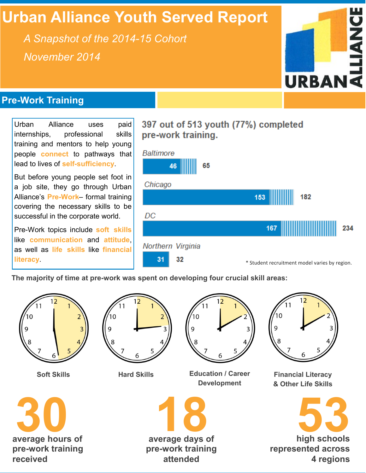# **Urban Alliance Youth Served Report**

*A Snapshot of the 2014-15 Cohort November 2014*



## **Pre-Work Training**

Urban Alliance uses paid internships, professional skills training and mentors to help young people **connect** to pathways that lead to lives of **self-sufficiency**.

But before young people set foot in a job site, they go through Urban Alliance's **Pre-Work**– formal training covering the necessary skills to be successful in the corporate world.

Pre-Work topics include **soft skills** like **communication** and **attitude**, as well as **life skills** like **financial literacy**.

## 397 out of 513 youth (77%) completed pre-work training.



**The majority of time at pre-work was spent on developing four crucial skill areas:**







**Soft Skills Education / Career Development**



**Financial Literacy & Other Life Skills**





**1889**<br>average days of **pre-work training attended**